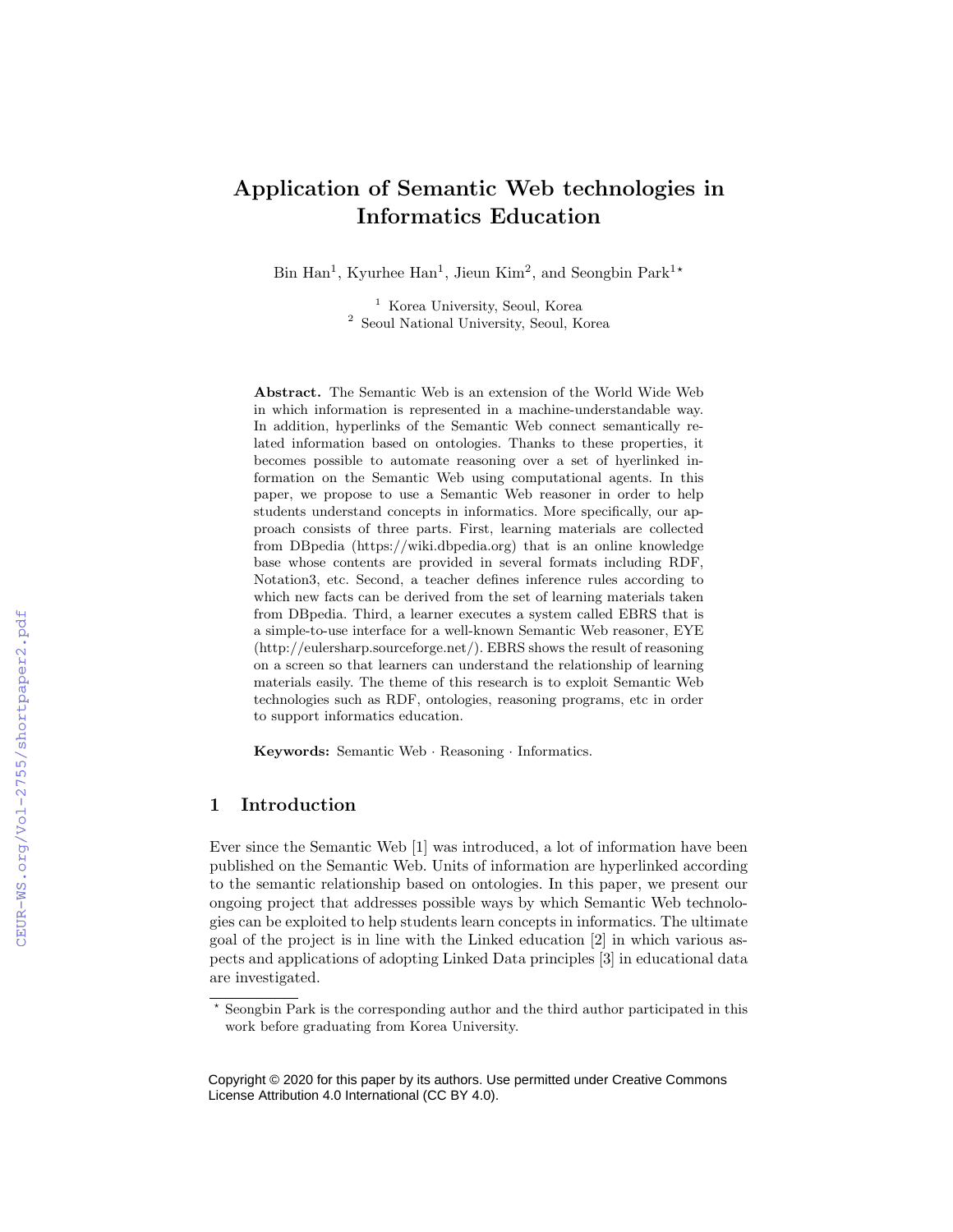# Application of Semantic Web technologies in Informatics Education

Bin Han<sup>1</sup>, Kyurhee Han<sup>1</sup>, Jieun Kim<sup>2</sup>, and Seongbin Park<sup>1\*</sup>

<sup>1</sup> Korea University, Seoul, Korea <sup>2</sup> Seoul National University, Seoul, Korea

Abstract. The Semantic Web is an extension of the World Wide Web in which information is represented in a machine-understandable way. In addition, hyperlinks of the Semantic Web connect semantically related information based on ontologies. Thanks to these properties, it becomes possible to automate reasoning over a set of hyerlinked information on the Semantic Web using computational agents. In this paper, we propose to use a Semantic Web reasoner in order to help students understand concepts in informatics. More specifically, our approach consists of three parts. First, learning materials are collected from DBpedia (https://wiki.dbpedia.org) that is an online knowledge base whose contents are provided in several formats including RDF, Notation3, etc. Second, a teacher defines inference rules according to which new facts can be derived from the set of learning materials taken from DBpedia. Third, a learner executes a system called EBRS that is a simple-to-use interface for a well-known Semantic Web reasoner, EYE (http://eulersharp.sourceforge.net/). EBRS shows the result of reasoning on a screen so that learners can understand the relationship of learning materials easily. The theme of this research is to exploit Semantic Web technologies such as RDF, ontologies, reasoning programs, etc in order to support informatics education.

Keywords: Semantic Web · Reasoning · Informatics.

## 1 Introduction

Ever since the Semantic Web [1] was introduced, a lot of information have been published on the Semantic Web. Units of information are hyperlinked according to the semantic relationship based on ontologies. In this paper, we present our ongoing project that addresses possible ways by which Semantic Web technologies can be exploited to help students learn concepts in informatics. The ultimate goal of the project is in line with the Linked education [2] in which various aspects and applications of adopting Linked Data principles [3] in educational data are investigated.

<sup>?</sup> Seongbin Park is the corresponding author and the third author participated in this work before graduating from Korea University.

Copyright © 2020 for this paper by its authors. Use permitted under Creative Commons License Attribution 4.0 International (CC BY 4.0).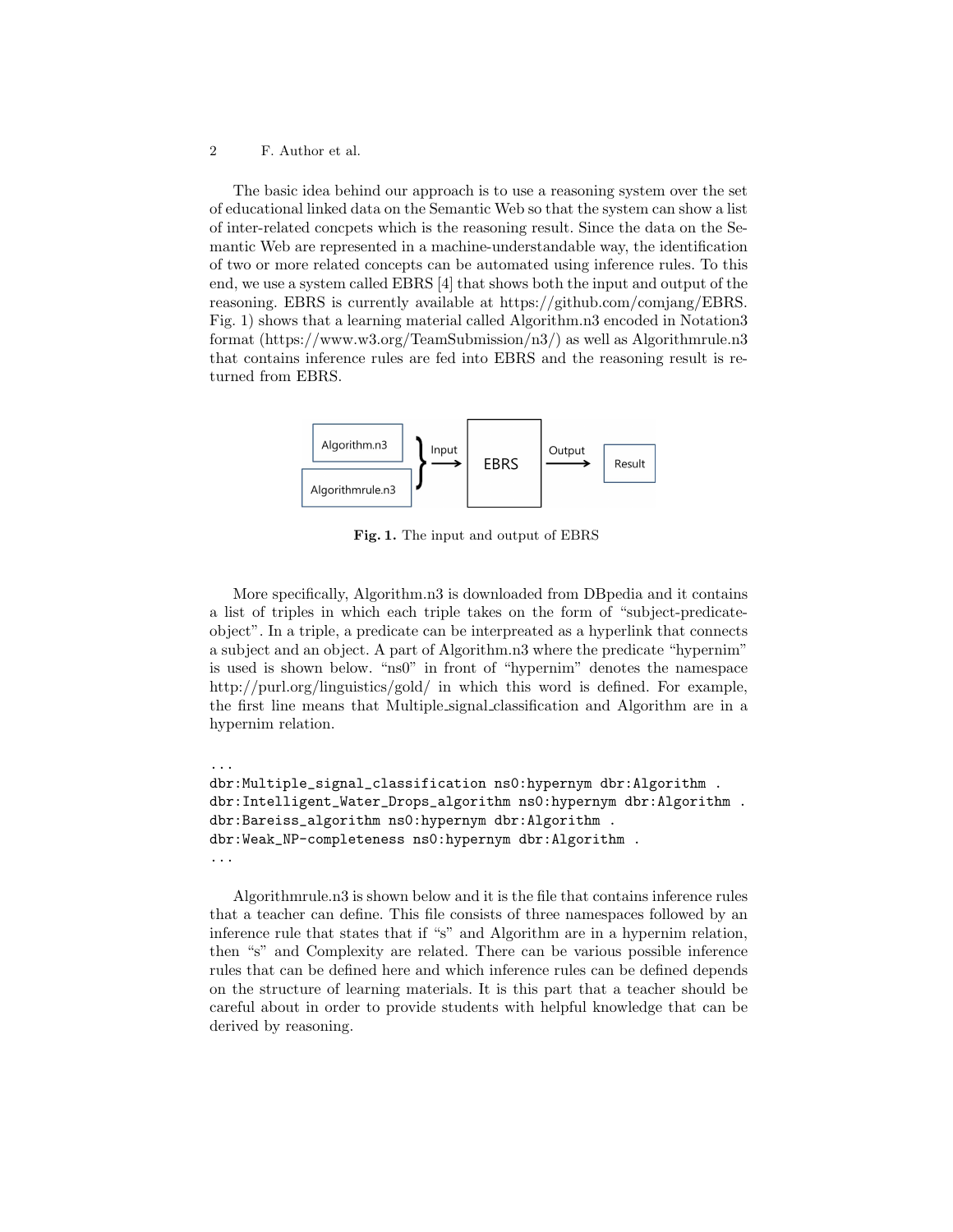#### 2 F. Author et al.

The basic idea behind our approach is to use a reasoning system over the set of educational linked data on the Semantic Web so that the system can show a list of inter-related concpets which is the reasoning result. Since the data on the Semantic Web are represented in a machine-understandable way, the identification of two or more related concepts can be automated using inference rules. To this end, we use a system called EBRS [4] that shows both the input and output of the reasoning. EBRS is currently available at https://github.com/comjang/EBRS. Fig. 1) shows that a learning material called Algorithm.n3 encoded in Notation3 format (https://www.w3.org/TeamSubmission/n3/) as well as Algorithmrule.n3 that contains inference rules are fed into EBRS and the reasoning result is returned from EBRS.



Fig. 1. The input and output of EBRS

More specifically, Algorithm.n3 is downloaded from DBpedia and it contains a list of triples in which each triple takes on the form of "subject-predicateobject". In a triple, a predicate can be interpreated as a hyperlink that connects a subject and an object. A part of Algorithm.n3 where the predicate "hypernim" is used is shown below. "ns0" in front of "hypernim" denotes the namespace http://purl.org/linguistics/gold/ in which this word is defined. For example, the first line means that Multiple signal classification and Algorithm are in a hypernim relation.

```
...
dbr:Multiple_signal_classification ns0:hypernym dbr:Algorithm .
dbr:Intelligent_Water_Drops_algorithm ns0:hypernym dbr:Algorithm .
dbr:Bareiss_algorithm ns0:hypernym dbr:Algorithm .
dbr:Weak_NP-completeness ns0:hypernym dbr:Algorithm .
...
```
Algorithmrule.n3 is shown below and it is the file that contains inference rules that a teacher can define. This file consists of three namespaces followed by an inference rule that states that if "s" and Algorithm are in a hypernim relation, then "s" and Complexity are related. There can be various possible inference rules that can be defined here and which inference rules can be defined depends on the structure of learning materials. It is this part that a teacher should be careful about in order to provide students with helpful knowledge that can be derived by reasoning.